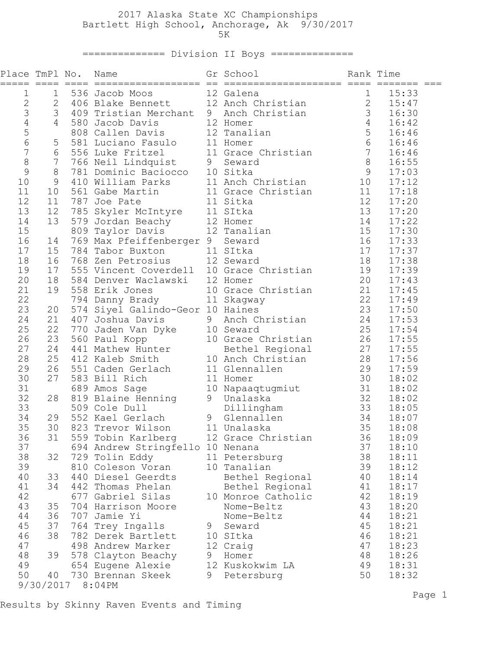## 2017 Alaska State XC Championships Bartlett High School, Anchorage, Ak 9/30/2017  $5K$

============== Division II Boys ==============

| $\mathbf 1$<br>536 Jacob Moos<br>1 536 Jacob Moos 12 Galena<br>2 406 Blake Bennett 12 Anch Christian 2<br>15:33<br>$\overline{2}$<br>15:47<br>3<br>3 409 Tristian Merchant 9 Anch Christian 3<br>16:30<br>$\begin{array}{c} 4 \\ 5 \\ 6 \end{array}$<br>$4 -$<br>16:42<br>16:46<br>5 <sup>5</sup><br>16:46<br>$\overline{7}$<br>$6\overline{6}$<br>16:46<br>8<br>7 <sup>7</sup><br>16:55<br>9<br>8<br>17:03<br>10<br>9<br>17:12<br>11<br>17:18<br>10<br>12<br>11<br>17:20<br>13<br>13<br>12<br>17:20<br>785 Skyler McIntyre 11 SItka<br>579 Jordan Beachy 12 Homer<br>809 Taylor Davis 12 Tanalian<br>14<br>14<br>13<br>17:22<br>15<br>15<br>17:30<br>16<br>16<br>769 Max Pfeiffenberger 9 Seward<br>17:33<br>14<br>17<br>784 Tabor Buxton 11 SItka<br>17<br>15<br>17:37<br>768 Zen Petrosius 12 Seward<br>18<br>18<br>16<br>17:38<br>19<br>17<br>19<br>555 Vincent Coverdell 10 Grace Christian<br>17:39<br>20<br>20<br>18<br>584 Denver Waclawski 12 Homer<br>17:43<br>21<br>19<br>558 Erik Jones<br>17:45<br>10 Grace Christian 21<br>11 Skagway 22<br>0-Geor 10 Haines 23<br>22<br>17:49<br>794 Danny Brady<br>23<br>574 Siyel Galindo-Geor 10 Haines<br>17:50<br>20<br>24<br>9 Anch Christian 24<br>21<br>407 Joshua Davis<br>17:53<br>25<br>22<br>1070 Jaden Van Dyke<br>10 Seward 10 Sexard 10 Sexard 25<br>560 Paul Kopp 10 Grace Christian 26<br>441 Mathew Hunter Bethel Regional 27<br>412 Kaleb Smith 10 Anch Christian 28<br>17:54<br>26<br>23<br>17:55<br>27<br>24<br>17:55<br>28<br>25<br>17:56<br>29<br>26<br>$\frac{29}{30}$<br>551 Caden Gerlach<br>17:59<br>11 Glennallen<br>30<br>27<br>583 Bill Rich<br>18:02<br>11 Homer<br>31<br>32<br>28<br>689 Amos Sage<br>819 Blaine Henning<br>509 Cole Dull<br>552 Kael Gerlach<br>689 Amos Sage<br>819 Blaine Henning<br>9 Unalaska<br>552 Kael Gerlach<br>81 Unalaska<br>81 Unalaska<br>85 18:08<br>85 18:08<br>85 18:09<br>33<br>34<br>29<br>35<br>30<br>31 559 Tobin Karlberg 12 Grace Christian 36 18:09<br>36<br>37<br>37<br>694 Andrew Stringfello 10 Nenana<br>18:10<br>38<br>38<br>32<br>729 Tolin Eddy<br>11 Petersburg<br>18:11<br>39<br>39<br>18:12<br>810 Coleson Voran<br>10 Tanalian<br>40<br>440 Diesel Geerdts<br>40<br>18:14<br>33<br>Bethel Regional<br>41<br>34<br>442 Thomas Phelan<br>41<br>Bethel Regional<br>18:17<br>42<br>42<br>677 Gabriel Silas<br>10 Monroe Catholic<br>18:19<br>43<br>43<br>35<br>704 Harrison Moore<br>Nome-Beltz<br>18:20<br>44<br>36<br>44<br>707 Jamie Yi<br>18:21<br>Nome-Beltz<br>45<br>37<br>45<br>764 Trey Ingalls<br>9<br>18:21<br>Seward<br>46<br>38<br>46<br>782 Derek Bartlett<br>10 SItka<br>18:21<br>47<br>47<br>498 Andrew Marker<br>18:23<br>12 Craig<br>48<br>48<br>39<br>18:26<br>578 Clayton Beachy<br>9<br>Homer<br>49<br>12 Kuskokwim LA<br>49<br>654 Eugene Alexie<br>18:31<br>50<br>730 Brennan Skeek<br>50<br>40<br>9<br>Petersburg<br>18:32<br>9/30/2017<br>8:04PM | Place TmPl No. |  | Name | Gr School | Rank Time |  |
|--------------------------------------------------------------------------------------------------------------------------------------------------------------------------------------------------------------------------------------------------------------------------------------------------------------------------------------------------------------------------------------------------------------------------------------------------------------------------------------------------------------------------------------------------------------------------------------------------------------------------------------------------------------------------------------------------------------------------------------------------------------------------------------------------------------------------------------------------------------------------------------------------------------------------------------------------------------------------------------------------------------------------------------------------------------------------------------------------------------------------------------------------------------------------------------------------------------------------------------------------------------------------------------------------------------------------------------------------------------------------------------------------------------------------------------------------------------------------------------------------------------------------------------------------------------------------------------------------------------------------------------------------------------------------------------------------------------------------------------------------------------------------------------------------------------------------------------------------------------------------------------------------------------------------------------------------------------------------------------------------------------------------------------------------------------------------------------------------------------------------------------------------------------------------------------------------------------------------------------------------------------------------------------------------------------------------------------------------------------------------------------------------------------------------------------------------------------------------------------------------------------------------------------------------------------------------------------------------------------------------------------------------------------------------------------------------------------------------------------------------------------------------------------------------------------------------------------------------------------------------------------------------------|----------------|--|------|-----------|-----------|--|
|                                                                                                                                                                                                                                                                                                                                                                                                                                                                                                                                                                                                                                                                                                                                                                                                                                                                                                                                                                                                                                                                                                                                                                                                                                                                                                                                                                                                                                                                                                                                                                                                                                                                                                                                                                                                                                                                                                                                                                                                                                                                                                                                                                                                                                                                                                                                                                                                                                                                                                                                                                                                                                                                                                                                                                                                                                                                                                        |                |  |      |           |           |  |
|                                                                                                                                                                                                                                                                                                                                                                                                                                                                                                                                                                                                                                                                                                                                                                                                                                                                                                                                                                                                                                                                                                                                                                                                                                                                                                                                                                                                                                                                                                                                                                                                                                                                                                                                                                                                                                                                                                                                                                                                                                                                                                                                                                                                                                                                                                                                                                                                                                                                                                                                                                                                                                                                                                                                                                                                                                                                                                        |                |  |      |           |           |  |
|                                                                                                                                                                                                                                                                                                                                                                                                                                                                                                                                                                                                                                                                                                                                                                                                                                                                                                                                                                                                                                                                                                                                                                                                                                                                                                                                                                                                                                                                                                                                                                                                                                                                                                                                                                                                                                                                                                                                                                                                                                                                                                                                                                                                                                                                                                                                                                                                                                                                                                                                                                                                                                                                                                                                                                                                                                                                                                        |                |  |      |           |           |  |
|                                                                                                                                                                                                                                                                                                                                                                                                                                                                                                                                                                                                                                                                                                                                                                                                                                                                                                                                                                                                                                                                                                                                                                                                                                                                                                                                                                                                                                                                                                                                                                                                                                                                                                                                                                                                                                                                                                                                                                                                                                                                                                                                                                                                                                                                                                                                                                                                                                                                                                                                                                                                                                                                                                                                                                                                                                                                                                        |                |  |      |           |           |  |
|                                                                                                                                                                                                                                                                                                                                                                                                                                                                                                                                                                                                                                                                                                                                                                                                                                                                                                                                                                                                                                                                                                                                                                                                                                                                                                                                                                                                                                                                                                                                                                                                                                                                                                                                                                                                                                                                                                                                                                                                                                                                                                                                                                                                                                                                                                                                                                                                                                                                                                                                                                                                                                                                                                                                                                                                                                                                                                        |                |  |      |           |           |  |
|                                                                                                                                                                                                                                                                                                                                                                                                                                                                                                                                                                                                                                                                                                                                                                                                                                                                                                                                                                                                                                                                                                                                                                                                                                                                                                                                                                                                                                                                                                                                                                                                                                                                                                                                                                                                                                                                                                                                                                                                                                                                                                                                                                                                                                                                                                                                                                                                                                                                                                                                                                                                                                                                                                                                                                                                                                                                                                        |                |  |      |           |           |  |
|                                                                                                                                                                                                                                                                                                                                                                                                                                                                                                                                                                                                                                                                                                                                                                                                                                                                                                                                                                                                                                                                                                                                                                                                                                                                                                                                                                                                                                                                                                                                                                                                                                                                                                                                                                                                                                                                                                                                                                                                                                                                                                                                                                                                                                                                                                                                                                                                                                                                                                                                                                                                                                                                                                                                                                                                                                                                                                        |                |  |      |           |           |  |
|                                                                                                                                                                                                                                                                                                                                                                                                                                                                                                                                                                                                                                                                                                                                                                                                                                                                                                                                                                                                                                                                                                                                                                                                                                                                                                                                                                                                                                                                                                                                                                                                                                                                                                                                                                                                                                                                                                                                                                                                                                                                                                                                                                                                                                                                                                                                                                                                                                                                                                                                                                                                                                                                                                                                                                                                                                                                                                        |                |  |      |           |           |  |
|                                                                                                                                                                                                                                                                                                                                                                                                                                                                                                                                                                                                                                                                                                                                                                                                                                                                                                                                                                                                                                                                                                                                                                                                                                                                                                                                                                                                                                                                                                                                                                                                                                                                                                                                                                                                                                                                                                                                                                                                                                                                                                                                                                                                                                                                                                                                                                                                                                                                                                                                                                                                                                                                                                                                                                                                                                                                                                        |                |  |      |           |           |  |
|                                                                                                                                                                                                                                                                                                                                                                                                                                                                                                                                                                                                                                                                                                                                                                                                                                                                                                                                                                                                                                                                                                                                                                                                                                                                                                                                                                                                                                                                                                                                                                                                                                                                                                                                                                                                                                                                                                                                                                                                                                                                                                                                                                                                                                                                                                                                                                                                                                                                                                                                                                                                                                                                                                                                                                                                                                                                                                        |                |  |      |           |           |  |
|                                                                                                                                                                                                                                                                                                                                                                                                                                                                                                                                                                                                                                                                                                                                                                                                                                                                                                                                                                                                                                                                                                                                                                                                                                                                                                                                                                                                                                                                                                                                                                                                                                                                                                                                                                                                                                                                                                                                                                                                                                                                                                                                                                                                                                                                                                                                                                                                                                                                                                                                                                                                                                                                                                                                                                                                                                                                                                        |                |  |      |           |           |  |
|                                                                                                                                                                                                                                                                                                                                                                                                                                                                                                                                                                                                                                                                                                                                                                                                                                                                                                                                                                                                                                                                                                                                                                                                                                                                                                                                                                                                                                                                                                                                                                                                                                                                                                                                                                                                                                                                                                                                                                                                                                                                                                                                                                                                                                                                                                                                                                                                                                                                                                                                                                                                                                                                                                                                                                                                                                                                                                        |                |  |      |           |           |  |
|                                                                                                                                                                                                                                                                                                                                                                                                                                                                                                                                                                                                                                                                                                                                                                                                                                                                                                                                                                                                                                                                                                                                                                                                                                                                                                                                                                                                                                                                                                                                                                                                                                                                                                                                                                                                                                                                                                                                                                                                                                                                                                                                                                                                                                                                                                                                                                                                                                                                                                                                                                                                                                                                                                                                                                                                                                                                                                        |                |  |      |           |           |  |
|                                                                                                                                                                                                                                                                                                                                                                                                                                                                                                                                                                                                                                                                                                                                                                                                                                                                                                                                                                                                                                                                                                                                                                                                                                                                                                                                                                                                                                                                                                                                                                                                                                                                                                                                                                                                                                                                                                                                                                                                                                                                                                                                                                                                                                                                                                                                                                                                                                                                                                                                                                                                                                                                                                                                                                                                                                                                                                        |                |  |      |           |           |  |
|                                                                                                                                                                                                                                                                                                                                                                                                                                                                                                                                                                                                                                                                                                                                                                                                                                                                                                                                                                                                                                                                                                                                                                                                                                                                                                                                                                                                                                                                                                                                                                                                                                                                                                                                                                                                                                                                                                                                                                                                                                                                                                                                                                                                                                                                                                                                                                                                                                                                                                                                                                                                                                                                                                                                                                                                                                                                                                        |                |  |      |           |           |  |
|                                                                                                                                                                                                                                                                                                                                                                                                                                                                                                                                                                                                                                                                                                                                                                                                                                                                                                                                                                                                                                                                                                                                                                                                                                                                                                                                                                                                                                                                                                                                                                                                                                                                                                                                                                                                                                                                                                                                                                                                                                                                                                                                                                                                                                                                                                                                                                                                                                                                                                                                                                                                                                                                                                                                                                                                                                                                                                        |                |  |      |           |           |  |
|                                                                                                                                                                                                                                                                                                                                                                                                                                                                                                                                                                                                                                                                                                                                                                                                                                                                                                                                                                                                                                                                                                                                                                                                                                                                                                                                                                                                                                                                                                                                                                                                                                                                                                                                                                                                                                                                                                                                                                                                                                                                                                                                                                                                                                                                                                                                                                                                                                                                                                                                                                                                                                                                                                                                                                                                                                                                                                        |                |  |      |           |           |  |
|                                                                                                                                                                                                                                                                                                                                                                                                                                                                                                                                                                                                                                                                                                                                                                                                                                                                                                                                                                                                                                                                                                                                                                                                                                                                                                                                                                                                                                                                                                                                                                                                                                                                                                                                                                                                                                                                                                                                                                                                                                                                                                                                                                                                                                                                                                                                                                                                                                                                                                                                                                                                                                                                                                                                                                                                                                                                                                        |                |  |      |           |           |  |
|                                                                                                                                                                                                                                                                                                                                                                                                                                                                                                                                                                                                                                                                                                                                                                                                                                                                                                                                                                                                                                                                                                                                                                                                                                                                                                                                                                                                                                                                                                                                                                                                                                                                                                                                                                                                                                                                                                                                                                                                                                                                                                                                                                                                                                                                                                                                                                                                                                                                                                                                                                                                                                                                                                                                                                                                                                                                                                        |                |  |      |           |           |  |
|                                                                                                                                                                                                                                                                                                                                                                                                                                                                                                                                                                                                                                                                                                                                                                                                                                                                                                                                                                                                                                                                                                                                                                                                                                                                                                                                                                                                                                                                                                                                                                                                                                                                                                                                                                                                                                                                                                                                                                                                                                                                                                                                                                                                                                                                                                                                                                                                                                                                                                                                                                                                                                                                                                                                                                                                                                                                                                        |                |  |      |           |           |  |
|                                                                                                                                                                                                                                                                                                                                                                                                                                                                                                                                                                                                                                                                                                                                                                                                                                                                                                                                                                                                                                                                                                                                                                                                                                                                                                                                                                                                                                                                                                                                                                                                                                                                                                                                                                                                                                                                                                                                                                                                                                                                                                                                                                                                                                                                                                                                                                                                                                                                                                                                                                                                                                                                                                                                                                                                                                                                                                        |                |  |      |           |           |  |
|                                                                                                                                                                                                                                                                                                                                                                                                                                                                                                                                                                                                                                                                                                                                                                                                                                                                                                                                                                                                                                                                                                                                                                                                                                                                                                                                                                                                                                                                                                                                                                                                                                                                                                                                                                                                                                                                                                                                                                                                                                                                                                                                                                                                                                                                                                                                                                                                                                                                                                                                                                                                                                                                                                                                                                                                                                                                                                        |                |  |      |           |           |  |
|                                                                                                                                                                                                                                                                                                                                                                                                                                                                                                                                                                                                                                                                                                                                                                                                                                                                                                                                                                                                                                                                                                                                                                                                                                                                                                                                                                                                                                                                                                                                                                                                                                                                                                                                                                                                                                                                                                                                                                                                                                                                                                                                                                                                                                                                                                                                                                                                                                                                                                                                                                                                                                                                                                                                                                                                                                                                                                        |                |  |      |           |           |  |
|                                                                                                                                                                                                                                                                                                                                                                                                                                                                                                                                                                                                                                                                                                                                                                                                                                                                                                                                                                                                                                                                                                                                                                                                                                                                                                                                                                                                                                                                                                                                                                                                                                                                                                                                                                                                                                                                                                                                                                                                                                                                                                                                                                                                                                                                                                                                                                                                                                                                                                                                                                                                                                                                                                                                                                                                                                                                                                        |                |  |      |           |           |  |
|                                                                                                                                                                                                                                                                                                                                                                                                                                                                                                                                                                                                                                                                                                                                                                                                                                                                                                                                                                                                                                                                                                                                                                                                                                                                                                                                                                                                                                                                                                                                                                                                                                                                                                                                                                                                                                                                                                                                                                                                                                                                                                                                                                                                                                                                                                                                                                                                                                                                                                                                                                                                                                                                                                                                                                                                                                                                                                        |                |  |      |           |           |  |
|                                                                                                                                                                                                                                                                                                                                                                                                                                                                                                                                                                                                                                                                                                                                                                                                                                                                                                                                                                                                                                                                                                                                                                                                                                                                                                                                                                                                                                                                                                                                                                                                                                                                                                                                                                                                                                                                                                                                                                                                                                                                                                                                                                                                                                                                                                                                                                                                                                                                                                                                                                                                                                                                                                                                                                                                                                                                                                        |                |  |      |           |           |  |
|                                                                                                                                                                                                                                                                                                                                                                                                                                                                                                                                                                                                                                                                                                                                                                                                                                                                                                                                                                                                                                                                                                                                                                                                                                                                                                                                                                                                                                                                                                                                                                                                                                                                                                                                                                                                                                                                                                                                                                                                                                                                                                                                                                                                                                                                                                                                                                                                                                                                                                                                                                                                                                                                                                                                                                                                                                                                                                        |                |  |      |           |           |  |
|                                                                                                                                                                                                                                                                                                                                                                                                                                                                                                                                                                                                                                                                                                                                                                                                                                                                                                                                                                                                                                                                                                                                                                                                                                                                                                                                                                                                                                                                                                                                                                                                                                                                                                                                                                                                                                                                                                                                                                                                                                                                                                                                                                                                                                                                                                                                                                                                                                                                                                                                                                                                                                                                                                                                                                                                                                                                                                        |                |  |      |           |           |  |
|                                                                                                                                                                                                                                                                                                                                                                                                                                                                                                                                                                                                                                                                                                                                                                                                                                                                                                                                                                                                                                                                                                                                                                                                                                                                                                                                                                                                                                                                                                                                                                                                                                                                                                                                                                                                                                                                                                                                                                                                                                                                                                                                                                                                                                                                                                                                                                                                                                                                                                                                                                                                                                                                                                                                                                                                                                                                                                        |                |  |      |           |           |  |
|                                                                                                                                                                                                                                                                                                                                                                                                                                                                                                                                                                                                                                                                                                                                                                                                                                                                                                                                                                                                                                                                                                                                                                                                                                                                                                                                                                                                                                                                                                                                                                                                                                                                                                                                                                                                                                                                                                                                                                                                                                                                                                                                                                                                                                                                                                                                                                                                                                                                                                                                                                                                                                                                                                                                                                                                                                                                                                        |                |  |      |           |           |  |
|                                                                                                                                                                                                                                                                                                                                                                                                                                                                                                                                                                                                                                                                                                                                                                                                                                                                                                                                                                                                                                                                                                                                                                                                                                                                                                                                                                                                                                                                                                                                                                                                                                                                                                                                                                                                                                                                                                                                                                                                                                                                                                                                                                                                                                                                                                                                                                                                                                                                                                                                                                                                                                                                                                                                                                                                                                                                                                        |                |  |      |           |           |  |
|                                                                                                                                                                                                                                                                                                                                                                                                                                                                                                                                                                                                                                                                                                                                                                                                                                                                                                                                                                                                                                                                                                                                                                                                                                                                                                                                                                                                                                                                                                                                                                                                                                                                                                                                                                                                                                                                                                                                                                                                                                                                                                                                                                                                                                                                                                                                                                                                                                                                                                                                                                                                                                                                                                                                                                                                                                                                                                        |                |  |      |           |           |  |
|                                                                                                                                                                                                                                                                                                                                                                                                                                                                                                                                                                                                                                                                                                                                                                                                                                                                                                                                                                                                                                                                                                                                                                                                                                                                                                                                                                                                                                                                                                                                                                                                                                                                                                                                                                                                                                                                                                                                                                                                                                                                                                                                                                                                                                                                                                                                                                                                                                                                                                                                                                                                                                                                                                                                                                                                                                                                                                        |                |  |      |           |           |  |
|                                                                                                                                                                                                                                                                                                                                                                                                                                                                                                                                                                                                                                                                                                                                                                                                                                                                                                                                                                                                                                                                                                                                                                                                                                                                                                                                                                                                                                                                                                                                                                                                                                                                                                                                                                                                                                                                                                                                                                                                                                                                                                                                                                                                                                                                                                                                                                                                                                                                                                                                                                                                                                                                                                                                                                                                                                                                                                        |                |  |      |           |           |  |
|                                                                                                                                                                                                                                                                                                                                                                                                                                                                                                                                                                                                                                                                                                                                                                                                                                                                                                                                                                                                                                                                                                                                                                                                                                                                                                                                                                                                                                                                                                                                                                                                                                                                                                                                                                                                                                                                                                                                                                                                                                                                                                                                                                                                                                                                                                                                                                                                                                                                                                                                                                                                                                                                                                                                                                                                                                                                                                        |                |  |      |           |           |  |
|                                                                                                                                                                                                                                                                                                                                                                                                                                                                                                                                                                                                                                                                                                                                                                                                                                                                                                                                                                                                                                                                                                                                                                                                                                                                                                                                                                                                                                                                                                                                                                                                                                                                                                                                                                                                                                                                                                                                                                                                                                                                                                                                                                                                                                                                                                                                                                                                                                                                                                                                                                                                                                                                                                                                                                                                                                                                                                        |                |  |      |           |           |  |
|                                                                                                                                                                                                                                                                                                                                                                                                                                                                                                                                                                                                                                                                                                                                                                                                                                                                                                                                                                                                                                                                                                                                                                                                                                                                                                                                                                                                                                                                                                                                                                                                                                                                                                                                                                                                                                                                                                                                                                                                                                                                                                                                                                                                                                                                                                                                                                                                                                                                                                                                                                                                                                                                                                                                                                                                                                                                                                        |                |  |      |           |           |  |
|                                                                                                                                                                                                                                                                                                                                                                                                                                                                                                                                                                                                                                                                                                                                                                                                                                                                                                                                                                                                                                                                                                                                                                                                                                                                                                                                                                                                                                                                                                                                                                                                                                                                                                                                                                                                                                                                                                                                                                                                                                                                                                                                                                                                                                                                                                                                                                                                                                                                                                                                                                                                                                                                                                                                                                                                                                                                                                        |                |  |      |           |           |  |
|                                                                                                                                                                                                                                                                                                                                                                                                                                                                                                                                                                                                                                                                                                                                                                                                                                                                                                                                                                                                                                                                                                                                                                                                                                                                                                                                                                                                                                                                                                                                                                                                                                                                                                                                                                                                                                                                                                                                                                                                                                                                                                                                                                                                                                                                                                                                                                                                                                                                                                                                                                                                                                                                                                                                                                                                                                                                                                        |                |  |      |           |           |  |
|                                                                                                                                                                                                                                                                                                                                                                                                                                                                                                                                                                                                                                                                                                                                                                                                                                                                                                                                                                                                                                                                                                                                                                                                                                                                                                                                                                                                                                                                                                                                                                                                                                                                                                                                                                                                                                                                                                                                                                                                                                                                                                                                                                                                                                                                                                                                                                                                                                                                                                                                                                                                                                                                                                                                                                                                                                                                                                        |                |  |      |           |           |  |
|                                                                                                                                                                                                                                                                                                                                                                                                                                                                                                                                                                                                                                                                                                                                                                                                                                                                                                                                                                                                                                                                                                                                                                                                                                                                                                                                                                                                                                                                                                                                                                                                                                                                                                                                                                                                                                                                                                                                                                                                                                                                                                                                                                                                                                                                                                                                                                                                                                                                                                                                                                                                                                                                                                                                                                                                                                                                                                        |                |  |      |           |           |  |
|                                                                                                                                                                                                                                                                                                                                                                                                                                                                                                                                                                                                                                                                                                                                                                                                                                                                                                                                                                                                                                                                                                                                                                                                                                                                                                                                                                                                                                                                                                                                                                                                                                                                                                                                                                                                                                                                                                                                                                                                                                                                                                                                                                                                                                                                                                                                                                                                                                                                                                                                                                                                                                                                                                                                                                                                                                                                                                        |                |  |      |           |           |  |
|                                                                                                                                                                                                                                                                                                                                                                                                                                                                                                                                                                                                                                                                                                                                                                                                                                                                                                                                                                                                                                                                                                                                                                                                                                                                                                                                                                                                                                                                                                                                                                                                                                                                                                                                                                                                                                                                                                                                                                                                                                                                                                                                                                                                                                                                                                                                                                                                                                                                                                                                                                                                                                                                                                                                                                                                                                                                                                        |                |  |      |           |           |  |
|                                                                                                                                                                                                                                                                                                                                                                                                                                                                                                                                                                                                                                                                                                                                                                                                                                                                                                                                                                                                                                                                                                                                                                                                                                                                                                                                                                                                                                                                                                                                                                                                                                                                                                                                                                                                                                                                                                                                                                                                                                                                                                                                                                                                                                                                                                                                                                                                                                                                                                                                                                                                                                                                                                                                                                                                                                                                                                        |                |  |      |           |           |  |
|                                                                                                                                                                                                                                                                                                                                                                                                                                                                                                                                                                                                                                                                                                                                                                                                                                                                                                                                                                                                                                                                                                                                                                                                                                                                                                                                                                                                                                                                                                                                                                                                                                                                                                                                                                                                                                                                                                                                                                                                                                                                                                                                                                                                                                                                                                                                                                                                                                                                                                                                                                                                                                                                                                                                                                                                                                                                                                        |                |  |      |           |           |  |
|                                                                                                                                                                                                                                                                                                                                                                                                                                                                                                                                                                                                                                                                                                                                                                                                                                                                                                                                                                                                                                                                                                                                                                                                                                                                                                                                                                                                                                                                                                                                                                                                                                                                                                                                                                                                                                                                                                                                                                                                                                                                                                                                                                                                                                                                                                                                                                                                                                                                                                                                                                                                                                                                                                                                                                                                                                                                                                        |                |  |      |           |           |  |
|                                                                                                                                                                                                                                                                                                                                                                                                                                                                                                                                                                                                                                                                                                                                                                                                                                                                                                                                                                                                                                                                                                                                                                                                                                                                                                                                                                                                                                                                                                                                                                                                                                                                                                                                                                                                                                                                                                                                                                                                                                                                                                                                                                                                                                                                                                                                                                                                                                                                                                                                                                                                                                                                                                                                                                                                                                                                                                        |                |  |      |           |           |  |
|                                                                                                                                                                                                                                                                                                                                                                                                                                                                                                                                                                                                                                                                                                                                                                                                                                                                                                                                                                                                                                                                                                                                                                                                                                                                                                                                                                                                                                                                                                                                                                                                                                                                                                                                                                                                                                                                                                                                                                                                                                                                                                                                                                                                                                                                                                                                                                                                                                                                                                                                                                                                                                                                                                                                                                                                                                                                                                        |                |  |      |           |           |  |
|                                                                                                                                                                                                                                                                                                                                                                                                                                                                                                                                                                                                                                                                                                                                                                                                                                                                                                                                                                                                                                                                                                                                                                                                                                                                                                                                                                                                                                                                                                                                                                                                                                                                                                                                                                                                                                                                                                                                                                                                                                                                                                                                                                                                                                                                                                                                                                                                                                                                                                                                                                                                                                                                                                                                                                                                                                                                                                        |                |  |      |           |           |  |
|                                                                                                                                                                                                                                                                                                                                                                                                                                                                                                                                                                                                                                                                                                                                                                                                                                                                                                                                                                                                                                                                                                                                                                                                                                                                                                                                                                                                                                                                                                                                                                                                                                                                                                                                                                                                                                                                                                                                                                                                                                                                                                                                                                                                                                                                                                                                                                                                                                                                                                                                                                                                                                                                                                                                                                                                                                                                                                        |                |  |      |           |           |  |

Results by Skinny Raven Events and Timing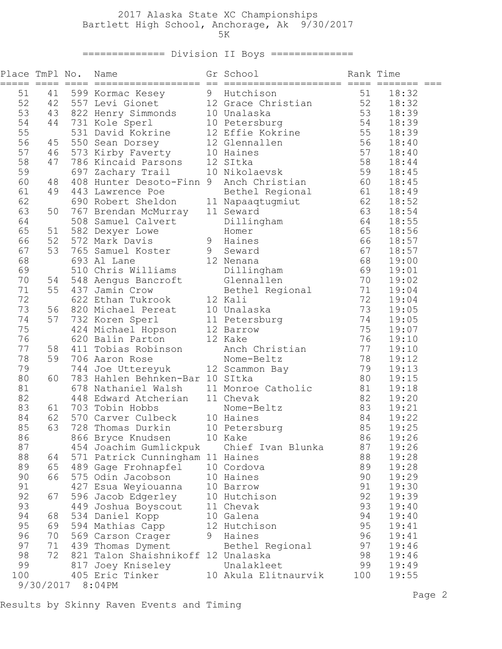## 2017 Alaska State XC Championships Bartlett High School, Anchorage, Ak 9/30/2017  $5K$

============== Division II Boys ==============

| 51<br>599 Kormac Kesey 9 Hutchison<br>18:32<br>51<br>41<br>557 Levi Gionet 12 Grace Christian 52<br>52<br>42<br>18:32<br>53<br>53<br>43<br>822 Henry Simmonds 10 Unalaska<br>18:39<br>10 Petersburg 54<br>54<br>44<br>731 Kole Sperl<br>18:39<br>55<br>531 David Kokrine 12 Effie Kokrine 55<br>18:39<br>56<br>56<br>550 Sean Dorsey 12 Glennallen<br>18:40<br>45<br>57<br>57<br>573 Kirby Faverty 10 Haines<br>46<br>18:40<br>58<br>58<br>47<br>786 Kincaid Parsons 12 SItka<br>18:44<br>10 Nikolaevsk 59<br>59<br>697 Zachary Trail<br>18:45<br>60<br>60<br>408 Hunter Desoto-Finn 9 Anch Christian<br>18:45<br>48<br>61<br>61<br>49<br>18:49<br>443 Lawrence Poe<br>Bethel Regional<br>62<br>62<br>690 Robert Sheldon<br>11 Napaaqtugmiut<br>18:52<br>63<br>63<br>50<br>767 Brendan McMurray<br>11 Seward<br>18:54<br>64<br>64<br>508 Samuel Calvert<br>18:55<br>Dillingham<br>65<br>65<br>582 Dexyer Lowe<br>18:56<br>51<br>Homer<br>66<br>66<br>52<br>572 Mark Davis<br>9 Haines<br>18:57<br>765 Samuel Koster 9 Seward<br>693 Al Lane 12 Nenana<br>67<br>67<br>53<br>18:57<br>68<br>68<br>19:00<br>69<br>510 Chris Williams Dillingham<br>69<br>19:01<br>70<br>70<br>548 Aengus Bancroft Glennallen<br>19:02<br>54<br>Bethel Regional<br>12 Kali<br>71<br>71<br>55<br>437 Jamin Crow<br>19:04<br>622 Ethan Tukrook 12 Kali<br>72<br>72<br>19:04<br>73<br>73<br>56<br>820 Michael Pereat 10 Unalaska<br>19:05<br>57<br>74<br>74<br>732 Koren Sperl<br>11 Petersburg<br>19:05<br>75<br>75<br>424 Michael Hopson 12 Barrow<br>19:07<br>76<br>76<br>12 Kake<br>620 Balin Parton<br>19:10<br>77<br>77<br>58<br>411 Tobias Robinson<br>Anch Christian<br>19:10<br>78<br>78<br>59<br>706 Aaron Rose<br>19:12<br>Nome-Beltz<br>79<br>79<br>744 Joe Uttereyuk 12 Scammon Bay<br>19:13<br>80<br>60<br>80<br>19:15<br>783 Hahlen Behnken-Bar 10 SItka<br>81<br>11 Monroe Catholic 81<br>678 Nathaniel Walsh<br>19:18<br>82<br>82<br>11 Chevak<br>448 Edward Atcherian<br>19:20<br>83<br>83<br>61<br>703 Tobin Hobbs<br>Nome-Beltz<br>19:21<br>570 Carver Culbeck 10 Haines<br>62<br>84<br>84<br>19:22<br>63<br>85<br>10 Petersburg<br>85<br>728 Thomas Durkin<br>19:25<br>86<br>86<br>866 Bryce Knudsen<br>10 Kake<br>19:26<br>87<br>87<br>Chief Ivan Blunka<br>19:26<br>454 Joachim Gumlickpuk<br>88<br>88<br>571 Patrick Cunningham 11 Haines<br>19:28<br>64<br>89<br>65<br>489 Gage Frohnapfel<br>10 Cordova<br>89<br>19:28<br>90<br>66<br>575 Odin Jacobson<br>10 Haines<br>90<br>19:29<br>91<br>91<br>19:30<br>427 Esua Weyiouanna<br>10 Barrow<br>92<br>92<br>67<br>10 Hutchison<br>19:39<br>596 Jacob Edgerley<br>93<br>93<br>11 Chevak<br>19:40<br>449 Joshua Boyscout<br>94<br>534 Daniel Kopp<br>10 Galena<br>94<br>19:40<br>68<br>95<br>95<br>69<br>12 Hutchison<br>594 Mathias Capp<br>19:41<br>96<br>96<br>70<br>569 Carson Crager<br>19:41<br>9<br>Haines<br>97<br>97<br>71<br>19:46<br>439 Thomas Dyment<br>Bethel Regional<br>98<br>72<br>821 Talon Shaishnikoff 12 Unalaska<br>98<br>19:46<br>99<br>Unalakleet<br>99<br>19:49<br>817 Joey Kniseley<br>100<br>405 Eric Tinker<br>10 Akula Elitnaurvik<br>100<br>19:55 | Place TmPl No. |  | Name | Gr School | Rank Time |  |
|----------------------------------------------------------------------------------------------------------------------------------------------------------------------------------------------------------------------------------------------------------------------------------------------------------------------------------------------------------------------------------------------------------------------------------------------------------------------------------------------------------------------------------------------------------------------------------------------------------------------------------------------------------------------------------------------------------------------------------------------------------------------------------------------------------------------------------------------------------------------------------------------------------------------------------------------------------------------------------------------------------------------------------------------------------------------------------------------------------------------------------------------------------------------------------------------------------------------------------------------------------------------------------------------------------------------------------------------------------------------------------------------------------------------------------------------------------------------------------------------------------------------------------------------------------------------------------------------------------------------------------------------------------------------------------------------------------------------------------------------------------------------------------------------------------------------------------------------------------------------------------------------------------------------------------------------------------------------------------------------------------------------------------------------------------------------------------------------------------------------------------------------------------------------------------------------------------------------------------------------------------------------------------------------------------------------------------------------------------------------------------------------------------------------------------------------------------------------------------------------------------------------------------------------------------------------------------------------------------------------------------------------------------------------------------------------------------------------------------------------------------------------------------------------------------------------------------------------------------------------------------------------------------------------------------------------------------------------------------------------------------------------------------------------------------------------------------------------------------------------------------|----------------|--|------|-----------|-----------|--|
|                                                                                                                                                                                                                                                                                                                                                                                                                                                                                                                                                                                                                                                                                                                                                                                                                                                                                                                                                                                                                                                                                                                                                                                                                                                                                                                                                                                                                                                                                                                                                                                                                                                                                                                                                                                                                                                                                                                                                                                                                                                                                                                                                                                                                                                                                                                                                                                                                                                                                                                                                                                                                                                                                                                                                                                                                                                                                                                                                                                                                                                                                                                                  |                |  |      |           |           |  |
|                                                                                                                                                                                                                                                                                                                                                                                                                                                                                                                                                                                                                                                                                                                                                                                                                                                                                                                                                                                                                                                                                                                                                                                                                                                                                                                                                                                                                                                                                                                                                                                                                                                                                                                                                                                                                                                                                                                                                                                                                                                                                                                                                                                                                                                                                                                                                                                                                                                                                                                                                                                                                                                                                                                                                                                                                                                                                                                                                                                                                                                                                                                                  |                |  |      |           |           |  |
|                                                                                                                                                                                                                                                                                                                                                                                                                                                                                                                                                                                                                                                                                                                                                                                                                                                                                                                                                                                                                                                                                                                                                                                                                                                                                                                                                                                                                                                                                                                                                                                                                                                                                                                                                                                                                                                                                                                                                                                                                                                                                                                                                                                                                                                                                                                                                                                                                                                                                                                                                                                                                                                                                                                                                                                                                                                                                                                                                                                                                                                                                                                                  |                |  |      |           |           |  |
|                                                                                                                                                                                                                                                                                                                                                                                                                                                                                                                                                                                                                                                                                                                                                                                                                                                                                                                                                                                                                                                                                                                                                                                                                                                                                                                                                                                                                                                                                                                                                                                                                                                                                                                                                                                                                                                                                                                                                                                                                                                                                                                                                                                                                                                                                                                                                                                                                                                                                                                                                                                                                                                                                                                                                                                                                                                                                                                                                                                                                                                                                                                                  |                |  |      |           |           |  |
|                                                                                                                                                                                                                                                                                                                                                                                                                                                                                                                                                                                                                                                                                                                                                                                                                                                                                                                                                                                                                                                                                                                                                                                                                                                                                                                                                                                                                                                                                                                                                                                                                                                                                                                                                                                                                                                                                                                                                                                                                                                                                                                                                                                                                                                                                                                                                                                                                                                                                                                                                                                                                                                                                                                                                                                                                                                                                                                                                                                                                                                                                                                                  |                |  |      |           |           |  |
|                                                                                                                                                                                                                                                                                                                                                                                                                                                                                                                                                                                                                                                                                                                                                                                                                                                                                                                                                                                                                                                                                                                                                                                                                                                                                                                                                                                                                                                                                                                                                                                                                                                                                                                                                                                                                                                                                                                                                                                                                                                                                                                                                                                                                                                                                                                                                                                                                                                                                                                                                                                                                                                                                                                                                                                                                                                                                                                                                                                                                                                                                                                                  |                |  |      |           |           |  |
|                                                                                                                                                                                                                                                                                                                                                                                                                                                                                                                                                                                                                                                                                                                                                                                                                                                                                                                                                                                                                                                                                                                                                                                                                                                                                                                                                                                                                                                                                                                                                                                                                                                                                                                                                                                                                                                                                                                                                                                                                                                                                                                                                                                                                                                                                                                                                                                                                                                                                                                                                                                                                                                                                                                                                                                                                                                                                                                                                                                                                                                                                                                                  |                |  |      |           |           |  |
|                                                                                                                                                                                                                                                                                                                                                                                                                                                                                                                                                                                                                                                                                                                                                                                                                                                                                                                                                                                                                                                                                                                                                                                                                                                                                                                                                                                                                                                                                                                                                                                                                                                                                                                                                                                                                                                                                                                                                                                                                                                                                                                                                                                                                                                                                                                                                                                                                                                                                                                                                                                                                                                                                                                                                                                                                                                                                                                                                                                                                                                                                                                                  |                |  |      |           |           |  |
|                                                                                                                                                                                                                                                                                                                                                                                                                                                                                                                                                                                                                                                                                                                                                                                                                                                                                                                                                                                                                                                                                                                                                                                                                                                                                                                                                                                                                                                                                                                                                                                                                                                                                                                                                                                                                                                                                                                                                                                                                                                                                                                                                                                                                                                                                                                                                                                                                                                                                                                                                                                                                                                                                                                                                                                                                                                                                                                                                                                                                                                                                                                                  |                |  |      |           |           |  |
|                                                                                                                                                                                                                                                                                                                                                                                                                                                                                                                                                                                                                                                                                                                                                                                                                                                                                                                                                                                                                                                                                                                                                                                                                                                                                                                                                                                                                                                                                                                                                                                                                                                                                                                                                                                                                                                                                                                                                                                                                                                                                                                                                                                                                                                                                                                                                                                                                                                                                                                                                                                                                                                                                                                                                                                                                                                                                                                                                                                                                                                                                                                                  |                |  |      |           |           |  |
|                                                                                                                                                                                                                                                                                                                                                                                                                                                                                                                                                                                                                                                                                                                                                                                                                                                                                                                                                                                                                                                                                                                                                                                                                                                                                                                                                                                                                                                                                                                                                                                                                                                                                                                                                                                                                                                                                                                                                                                                                                                                                                                                                                                                                                                                                                                                                                                                                                                                                                                                                                                                                                                                                                                                                                                                                                                                                                                                                                                                                                                                                                                                  |                |  |      |           |           |  |
|                                                                                                                                                                                                                                                                                                                                                                                                                                                                                                                                                                                                                                                                                                                                                                                                                                                                                                                                                                                                                                                                                                                                                                                                                                                                                                                                                                                                                                                                                                                                                                                                                                                                                                                                                                                                                                                                                                                                                                                                                                                                                                                                                                                                                                                                                                                                                                                                                                                                                                                                                                                                                                                                                                                                                                                                                                                                                                                                                                                                                                                                                                                                  |                |  |      |           |           |  |
|                                                                                                                                                                                                                                                                                                                                                                                                                                                                                                                                                                                                                                                                                                                                                                                                                                                                                                                                                                                                                                                                                                                                                                                                                                                                                                                                                                                                                                                                                                                                                                                                                                                                                                                                                                                                                                                                                                                                                                                                                                                                                                                                                                                                                                                                                                                                                                                                                                                                                                                                                                                                                                                                                                                                                                                                                                                                                                                                                                                                                                                                                                                                  |                |  |      |           |           |  |
|                                                                                                                                                                                                                                                                                                                                                                                                                                                                                                                                                                                                                                                                                                                                                                                                                                                                                                                                                                                                                                                                                                                                                                                                                                                                                                                                                                                                                                                                                                                                                                                                                                                                                                                                                                                                                                                                                                                                                                                                                                                                                                                                                                                                                                                                                                                                                                                                                                                                                                                                                                                                                                                                                                                                                                                                                                                                                                                                                                                                                                                                                                                                  |                |  |      |           |           |  |
|                                                                                                                                                                                                                                                                                                                                                                                                                                                                                                                                                                                                                                                                                                                                                                                                                                                                                                                                                                                                                                                                                                                                                                                                                                                                                                                                                                                                                                                                                                                                                                                                                                                                                                                                                                                                                                                                                                                                                                                                                                                                                                                                                                                                                                                                                                                                                                                                                                                                                                                                                                                                                                                                                                                                                                                                                                                                                                                                                                                                                                                                                                                                  |                |  |      |           |           |  |
|                                                                                                                                                                                                                                                                                                                                                                                                                                                                                                                                                                                                                                                                                                                                                                                                                                                                                                                                                                                                                                                                                                                                                                                                                                                                                                                                                                                                                                                                                                                                                                                                                                                                                                                                                                                                                                                                                                                                                                                                                                                                                                                                                                                                                                                                                                                                                                                                                                                                                                                                                                                                                                                                                                                                                                                                                                                                                                                                                                                                                                                                                                                                  |                |  |      |           |           |  |
|                                                                                                                                                                                                                                                                                                                                                                                                                                                                                                                                                                                                                                                                                                                                                                                                                                                                                                                                                                                                                                                                                                                                                                                                                                                                                                                                                                                                                                                                                                                                                                                                                                                                                                                                                                                                                                                                                                                                                                                                                                                                                                                                                                                                                                                                                                                                                                                                                                                                                                                                                                                                                                                                                                                                                                                                                                                                                                                                                                                                                                                                                                                                  |                |  |      |           |           |  |
|                                                                                                                                                                                                                                                                                                                                                                                                                                                                                                                                                                                                                                                                                                                                                                                                                                                                                                                                                                                                                                                                                                                                                                                                                                                                                                                                                                                                                                                                                                                                                                                                                                                                                                                                                                                                                                                                                                                                                                                                                                                                                                                                                                                                                                                                                                                                                                                                                                                                                                                                                                                                                                                                                                                                                                                                                                                                                                                                                                                                                                                                                                                                  |                |  |      |           |           |  |
|                                                                                                                                                                                                                                                                                                                                                                                                                                                                                                                                                                                                                                                                                                                                                                                                                                                                                                                                                                                                                                                                                                                                                                                                                                                                                                                                                                                                                                                                                                                                                                                                                                                                                                                                                                                                                                                                                                                                                                                                                                                                                                                                                                                                                                                                                                                                                                                                                                                                                                                                                                                                                                                                                                                                                                                                                                                                                                                                                                                                                                                                                                                                  |                |  |      |           |           |  |
|                                                                                                                                                                                                                                                                                                                                                                                                                                                                                                                                                                                                                                                                                                                                                                                                                                                                                                                                                                                                                                                                                                                                                                                                                                                                                                                                                                                                                                                                                                                                                                                                                                                                                                                                                                                                                                                                                                                                                                                                                                                                                                                                                                                                                                                                                                                                                                                                                                                                                                                                                                                                                                                                                                                                                                                                                                                                                                                                                                                                                                                                                                                                  |                |  |      |           |           |  |
|                                                                                                                                                                                                                                                                                                                                                                                                                                                                                                                                                                                                                                                                                                                                                                                                                                                                                                                                                                                                                                                                                                                                                                                                                                                                                                                                                                                                                                                                                                                                                                                                                                                                                                                                                                                                                                                                                                                                                                                                                                                                                                                                                                                                                                                                                                                                                                                                                                                                                                                                                                                                                                                                                                                                                                                                                                                                                                                                                                                                                                                                                                                                  |                |  |      |           |           |  |
|                                                                                                                                                                                                                                                                                                                                                                                                                                                                                                                                                                                                                                                                                                                                                                                                                                                                                                                                                                                                                                                                                                                                                                                                                                                                                                                                                                                                                                                                                                                                                                                                                                                                                                                                                                                                                                                                                                                                                                                                                                                                                                                                                                                                                                                                                                                                                                                                                                                                                                                                                                                                                                                                                                                                                                                                                                                                                                                                                                                                                                                                                                                                  |                |  |      |           |           |  |
|                                                                                                                                                                                                                                                                                                                                                                                                                                                                                                                                                                                                                                                                                                                                                                                                                                                                                                                                                                                                                                                                                                                                                                                                                                                                                                                                                                                                                                                                                                                                                                                                                                                                                                                                                                                                                                                                                                                                                                                                                                                                                                                                                                                                                                                                                                                                                                                                                                                                                                                                                                                                                                                                                                                                                                                                                                                                                                                                                                                                                                                                                                                                  |                |  |      |           |           |  |
|                                                                                                                                                                                                                                                                                                                                                                                                                                                                                                                                                                                                                                                                                                                                                                                                                                                                                                                                                                                                                                                                                                                                                                                                                                                                                                                                                                                                                                                                                                                                                                                                                                                                                                                                                                                                                                                                                                                                                                                                                                                                                                                                                                                                                                                                                                                                                                                                                                                                                                                                                                                                                                                                                                                                                                                                                                                                                                                                                                                                                                                                                                                                  |                |  |      |           |           |  |
|                                                                                                                                                                                                                                                                                                                                                                                                                                                                                                                                                                                                                                                                                                                                                                                                                                                                                                                                                                                                                                                                                                                                                                                                                                                                                                                                                                                                                                                                                                                                                                                                                                                                                                                                                                                                                                                                                                                                                                                                                                                                                                                                                                                                                                                                                                                                                                                                                                                                                                                                                                                                                                                                                                                                                                                                                                                                                                                                                                                                                                                                                                                                  |                |  |      |           |           |  |
|                                                                                                                                                                                                                                                                                                                                                                                                                                                                                                                                                                                                                                                                                                                                                                                                                                                                                                                                                                                                                                                                                                                                                                                                                                                                                                                                                                                                                                                                                                                                                                                                                                                                                                                                                                                                                                                                                                                                                                                                                                                                                                                                                                                                                                                                                                                                                                                                                                                                                                                                                                                                                                                                                                                                                                                                                                                                                                                                                                                                                                                                                                                                  |                |  |      |           |           |  |
|                                                                                                                                                                                                                                                                                                                                                                                                                                                                                                                                                                                                                                                                                                                                                                                                                                                                                                                                                                                                                                                                                                                                                                                                                                                                                                                                                                                                                                                                                                                                                                                                                                                                                                                                                                                                                                                                                                                                                                                                                                                                                                                                                                                                                                                                                                                                                                                                                                                                                                                                                                                                                                                                                                                                                                                                                                                                                                                                                                                                                                                                                                                                  |                |  |      |           |           |  |
|                                                                                                                                                                                                                                                                                                                                                                                                                                                                                                                                                                                                                                                                                                                                                                                                                                                                                                                                                                                                                                                                                                                                                                                                                                                                                                                                                                                                                                                                                                                                                                                                                                                                                                                                                                                                                                                                                                                                                                                                                                                                                                                                                                                                                                                                                                                                                                                                                                                                                                                                                                                                                                                                                                                                                                                                                                                                                                                                                                                                                                                                                                                                  |                |  |      |           |           |  |
|                                                                                                                                                                                                                                                                                                                                                                                                                                                                                                                                                                                                                                                                                                                                                                                                                                                                                                                                                                                                                                                                                                                                                                                                                                                                                                                                                                                                                                                                                                                                                                                                                                                                                                                                                                                                                                                                                                                                                                                                                                                                                                                                                                                                                                                                                                                                                                                                                                                                                                                                                                                                                                                                                                                                                                                                                                                                                                                                                                                                                                                                                                                                  |                |  |      |           |           |  |
|                                                                                                                                                                                                                                                                                                                                                                                                                                                                                                                                                                                                                                                                                                                                                                                                                                                                                                                                                                                                                                                                                                                                                                                                                                                                                                                                                                                                                                                                                                                                                                                                                                                                                                                                                                                                                                                                                                                                                                                                                                                                                                                                                                                                                                                                                                                                                                                                                                                                                                                                                                                                                                                                                                                                                                                                                                                                                                                                                                                                                                                                                                                                  |                |  |      |           |           |  |
|                                                                                                                                                                                                                                                                                                                                                                                                                                                                                                                                                                                                                                                                                                                                                                                                                                                                                                                                                                                                                                                                                                                                                                                                                                                                                                                                                                                                                                                                                                                                                                                                                                                                                                                                                                                                                                                                                                                                                                                                                                                                                                                                                                                                                                                                                                                                                                                                                                                                                                                                                                                                                                                                                                                                                                                                                                                                                                                                                                                                                                                                                                                                  |                |  |      |           |           |  |
|                                                                                                                                                                                                                                                                                                                                                                                                                                                                                                                                                                                                                                                                                                                                                                                                                                                                                                                                                                                                                                                                                                                                                                                                                                                                                                                                                                                                                                                                                                                                                                                                                                                                                                                                                                                                                                                                                                                                                                                                                                                                                                                                                                                                                                                                                                                                                                                                                                                                                                                                                                                                                                                                                                                                                                                                                                                                                                                                                                                                                                                                                                                                  |                |  |      |           |           |  |
|                                                                                                                                                                                                                                                                                                                                                                                                                                                                                                                                                                                                                                                                                                                                                                                                                                                                                                                                                                                                                                                                                                                                                                                                                                                                                                                                                                                                                                                                                                                                                                                                                                                                                                                                                                                                                                                                                                                                                                                                                                                                                                                                                                                                                                                                                                                                                                                                                                                                                                                                                                                                                                                                                                                                                                                                                                                                                                                                                                                                                                                                                                                                  |                |  |      |           |           |  |
|                                                                                                                                                                                                                                                                                                                                                                                                                                                                                                                                                                                                                                                                                                                                                                                                                                                                                                                                                                                                                                                                                                                                                                                                                                                                                                                                                                                                                                                                                                                                                                                                                                                                                                                                                                                                                                                                                                                                                                                                                                                                                                                                                                                                                                                                                                                                                                                                                                                                                                                                                                                                                                                                                                                                                                                                                                                                                                                                                                                                                                                                                                                                  |                |  |      |           |           |  |
|                                                                                                                                                                                                                                                                                                                                                                                                                                                                                                                                                                                                                                                                                                                                                                                                                                                                                                                                                                                                                                                                                                                                                                                                                                                                                                                                                                                                                                                                                                                                                                                                                                                                                                                                                                                                                                                                                                                                                                                                                                                                                                                                                                                                                                                                                                                                                                                                                                                                                                                                                                                                                                                                                                                                                                                                                                                                                                                                                                                                                                                                                                                                  |                |  |      |           |           |  |
|                                                                                                                                                                                                                                                                                                                                                                                                                                                                                                                                                                                                                                                                                                                                                                                                                                                                                                                                                                                                                                                                                                                                                                                                                                                                                                                                                                                                                                                                                                                                                                                                                                                                                                                                                                                                                                                                                                                                                                                                                                                                                                                                                                                                                                                                                                                                                                                                                                                                                                                                                                                                                                                                                                                                                                                                                                                                                                                                                                                                                                                                                                                                  |                |  |      |           |           |  |
|                                                                                                                                                                                                                                                                                                                                                                                                                                                                                                                                                                                                                                                                                                                                                                                                                                                                                                                                                                                                                                                                                                                                                                                                                                                                                                                                                                                                                                                                                                                                                                                                                                                                                                                                                                                                                                                                                                                                                                                                                                                                                                                                                                                                                                                                                                                                                                                                                                                                                                                                                                                                                                                                                                                                                                                                                                                                                                                                                                                                                                                                                                                                  |                |  |      |           |           |  |
|                                                                                                                                                                                                                                                                                                                                                                                                                                                                                                                                                                                                                                                                                                                                                                                                                                                                                                                                                                                                                                                                                                                                                                                                                                                                                                                                                                                                                                                                                                                                                                                                                                                                                                                                                                                                                                                                                                                                                                                                                                                                                                                                                                                                                                                                                                                                                                                                                                                                                                                                                                                                                                                                                                                                                                                                                                                                                                                                                                                                                                                                                                                                  |                |  |      |           |           |  |
|                                                                                                                                                                                                                                                                                                                                                                                                                                                                                                                                                                                                                                                                                                                                                                                                                                                                                                                                                                                                                                                                                                                                                                                                                                                                                                                                                                                                                                                                                                                                                                                                                                                                                                                                                                                                                                                                                                                                                                                                                                                                                                                                                                                                                                                                                                                                                                                                                                                                                                                                                                                                                                                                                                                                                                                                                                                                                                                                                                                                                                                                                                                                  |                |  |      |           |           |  |
|                                                                                                                                                                                                                                                                                                                                                                                                                                                                                                                                                                                                                                                                                                                                                                                                                                                                                                                                                                                                                                                                                                                                                                                                                                                                                                                                                                                                                                                                                                                                                                                                                                                                                                                                                                                                                                                                                                                                                                                                                                                                                                                                                                                                                                                                                                                                                                                                                                                                                                                                                                                                                                                                                                                                                                                                                                                                                                                                                                                                                                                                                                                                  |                |  |      |           |           |  |
|                                                                                                                                                                                                                                                                                                                                                                                                                                                                                                                                                                                                                                                                                                                                                                                                                                                                                                                                                                                                                                                                                                                                                                                                                                                                                                                                                                                                                                                                                                                                                                                                                                                                                                                                                                                                                                                                                                                                                                                                                                                                                                                                                                                                                                                                                                                                                                                                                                                                                                                                                                                                                                                                                                                                                                                                                                                                                                                                                                                                                                                                                                                                  |                |  |      |           |           |  |
|                                                                                                                                                                                                                                                                                                                                                                                                                                                                                                                                                                                                                                                                                                                                                                                                                                                                                                                                                                                                                                                                                                                                                                                                                                                                                                                                                                                                                                                                                                                                                                                                                                                                                                                                                                                                                                                                                                                                                                                                                                                                                                                                                                                                                                                                                                                                                                                                                                                                                                                                                                                                                                                                                                                                                                                                                                                                                                                                                                                                                                                                                                                                  |                |  |      |           |           |  |
|                                                                                                                                                                                                                                                                                                                                                                                                                                                                                                                                                                                                                                                                                                                                                                                                                                                                                                                                                                                                                                                                                                                                                                                                                                                                                                                                                                                                                                                                                                                                                                                                                                                                                                                                                                                                                                                                                                                                                                                                                                                                                                                                                                                                                                                                                                                                                                                                                                                                                                                                                                                                                                                                                                                                                                                                                                                                                                                                                                                                                                                                                                                                  |                |  |      |           |           |  |
|                                                                                                                                                                                                                                                                                                                                                                                                                                                                                                                                                                                                                                                                                                                                                                                                                                                                                                                                                                                                                                                                                                                                                                                                                                                                                                                                                                                                                                                                                                                                                                                                                                                                                                                                                                                                                                                                                                                                                                                                                                                                                                                                                                                                                                                                                                                                                                                                                                                                                                                                                                                                                                                                                                                                                                                                                                                                                                                                                                                                                                                                                                                                  |                |  |      |           |           |  |
|                                                                                                                                                                                                                                                                                                                                                                                                                                                                                                                                                                                                                                                                                                                                                                                                                                                                                                                                                                                                                                                                                                                                                                                                                                                                                                                                                                                                                                                                                                                                                                                                                                                                                                                                                                                                                                                                                                                                                                                                                                                                                                                                                                                                                                                                                                                                                                                                                                                                                                                                                                                                                                                                                                                                                                                                                                                                                                                                                                                                                                                                                                                                  |                |  |      |           |           |  |
|                                                                                                                                                                                                                                                                                                                                                                                                                                                                                                                                                                                                                                                                                                                                                                                                                                                                                                                                                                                                                                                                                                                                                                                                                                                                                                                                                                                                                                                                                                                                                                                                                                                                                                                                                                                                                                                                                                                                                                                                                                                                                                                                                                                                                                                                                                                                                                                                                                                                                                                                                                                                                                                                                                                                                                                                                                                                                                                                                                                                                                                                                                                                  |                |  |      |           |           |  |
|                                                                                                                                                                                                                                                                                                                                                                                                                                                                                                                                                                                                                                                                                                                                                                                                                                                                                                                                                                                                                                                                                                                                                                                                                                                                                                                                                                                                                                                                                                                                                                                                                                                                                                                                                                                                                                                                                                                                                                                                                                                                                                                                                                                                                                                                                                                                                                                                                                                                                                                                                                                                                                                                                                                                                                                                                                                                                                                                                                                                                                                                                                                                  |                |  |      |           |           |  |
|                                                                                                                                                                                                                                                                                                                                                                                                                                                                                                                                                                                                                                                                                                                                                                                                                                                                                                                                                                                                                                                                                                                                                                                                                                                                                                                                                                                                                                                                                                                                                                                                                                                                                                                                                                                                                                                                                                                                                                                                                                                                                                                                                                                                                                                                                                                                                                                                                                                                                                                                                                                                                                                                                                                                                                                                                                                                                                                                                                                                                                                                                                                                  |                |  |      |           |           |  |
|                                                                                                                                                                                                                                                                                                                                                                                                                                                                                                                                                                                                                                                                                                                                                                                                                                                                                                                                                                                                                                                                                                                                                                                                                                                                                                                                                                                                                                                                                                                                                                                                                                                                                                                                                                                                                                                                                                                                                                                                                                                                                                                                                                                                                                                                                                                                                                                                                                                                                                                                                                                                                                                                                                                                                                                                                                                                                                                                                                                                                                                                                                                                  |                |  |      |           |           |  |
| 9/30/2017<br>8:04PM                                                                                                                                                                                                                                                                                                                                                                                                                                                                                                                                                                                                                                                                                                                                                                                                                                                                                                                                                                                                                                                                                                                                                                                                                                                                                                                                                                                                                                                                                                                                                                                                                                                                                                                                                                                                                                                                                                                                                                                                                                                                                                                                                                                                                                                                                                                                                                                                                                                                                                                                                                                                                                                                                                                                                                                                                                                                                                                                                                                                                                                                                                              |                |  |      |           |           |  |

Results by Skinny Raven Events and Timing